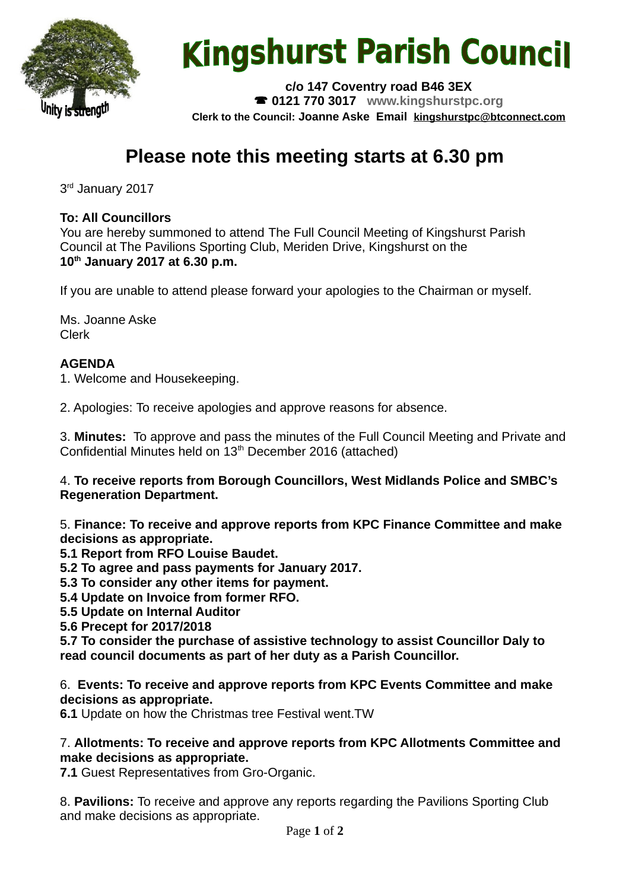

# **Kingshurst Parish Council**

**c/o 147 Coventry road B46 3EX 0121 770 3017 www.kingshurstpc.org Clerk to the Council: Joanne Aske Email [kingshurstpc@btconnect.com](mailto:kingshurstpc@btconnect.com)**

# **Please note this meeting starts at 6.30 pm**

3<sup>rd</sup> January 2017

#### **To: All Councillors**

You are hereby summoned to attend The Full Council Meeting of Kingshurst Parish Council at The Pavilions Sporting Club, Meriden Drive, Kingshurst on the **10th January 2017 at 6.30 p.m.**

If you are unable to attend please forward your apologies to the Chairman or myself.

Ms. Joanne Aske Clerk

# **AGENDA**

1. Welcome and Housekeeping.

2. Apologies: To receive apologies and approve reasons for absence.

3. **Minutes:** To approve and pass the minutes of the Full Council Meeting and Private and Confidential Minutes held on 13<sup>th</sup> December 2016 (attached)

4. **To receive reports from Borough Councillors, West Midlands Police and SMBC's Regeneration Department.**

5. **Finance: To receive and approve reports from KPC Finance Committee and make decisions as appropriate.**

**5.1 Report from RFO Louise Baudet.**

**5.2 To agree and pass payments for January 2017.**

**5.3 To consider any other items for payment.**

**5.4 Update on Invoice from former RFO.**

**5.5 Update on Internal Auditor**

**5.6 Precept for 2017/2018**

**5.7 To consider the purchase of assistive technology to assist Councillor Daly to read council documents as part of her duty as a Parish Councillor.**

6. **Events: To receive and approve reports from KPC Events Committee and make decisions as appropriate.**

**6.1** Update on how the Christmas tree Festival went.TW

#### 7. **Allotments: To receive and approve reports from KPC Allotments Committee and make decisions as appropriate.**

**7.1** Guest Representatives from Gro-Organic.

8. **Pavilions:** To receive and approve any reports regarding the Pavilions Sporting Club and make decisions as appropriate.